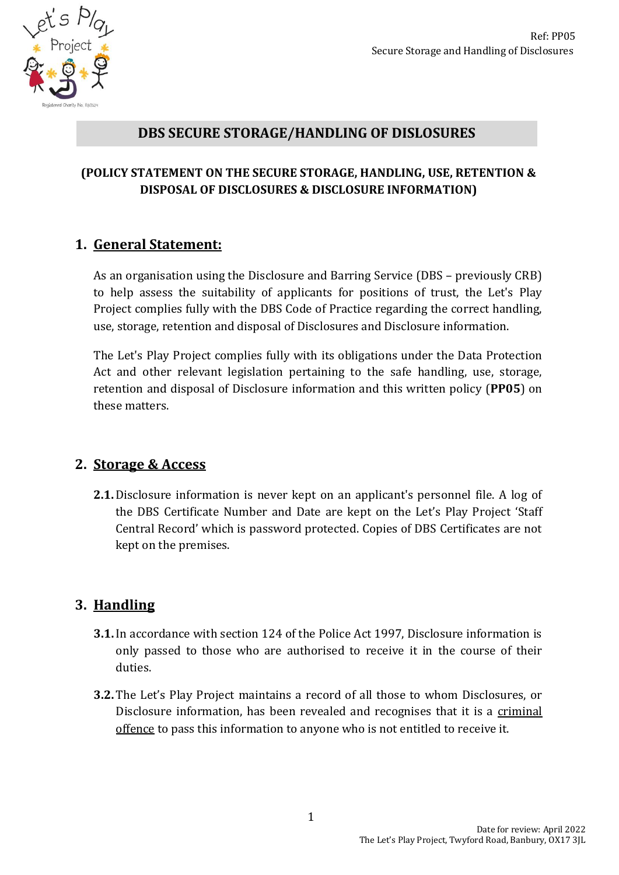

#### **DBS SECURE STORAGE/HANDLING OF DISLOSURES**

#### **(POLICY STATEMENT ON THE SECURE STORAGE, HANDLING, USE, RETENTION & DISPOSAL OF DISCLOSURES & DISCLOSURE INFORMATION)**

#### **1. General Statement:**

As an organisation using the Disclosure and Barring Service (DBS – previously CRB) to help assess the suitability of applicants for positions of trust, the Let's Play Project complies fully with the DBS Code of Practice regarding the correct handling, use, storage, retention and disposal of Disclosures and Disclosure information.

The Let's Play Project complies fully with its obligations under the Data Protection Act and other relevant legislation pertaining to the safe handling, use, storage, retention and disposal of Disclosure information and this written policy (**PP05**) on these matters.

#### **2. Storage & Access**

**2.1.**Disclosure information is never kept on an applicant's personnel file. A log of the DBS Certificate Number and Date are kept on the Let's Play Project 'Staff Central Record' which is password protected. Copies of DBS Certificates are not kept on the premises.

## **3. Handling**

- **3.1.**In accordance with section 124 of the Police Act 1997, Disclosure information is only passed to those who are authorised to receive it in the course of their duties.
- **3.2.** The Let's Play Project maintains a record of all those to whom Disclosures, or Disclosure information, has been revealed and recognises that it is a criminal offence to pass this information to anyone who is not entitled to receive it.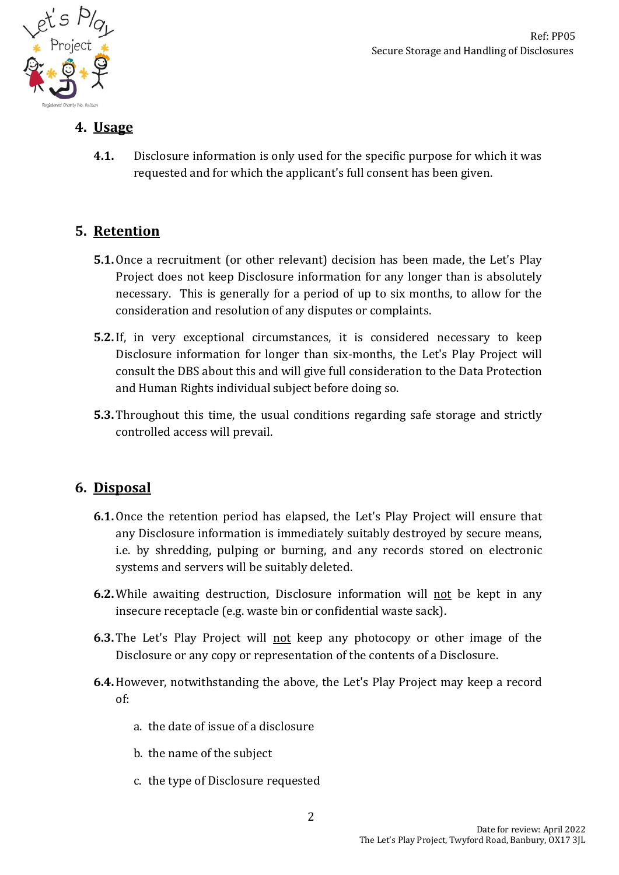

### **4. Usage**

**4.1.** Disclosure information is only used for the specific purpose for which it was requested and for which the applicant's full consent has been given.

# **5. Retention**

- **5.1.**Once a recruitment (or other relevant) decision has been made, the Let's Play Project does not keep Disclosure information for any longer than is absolutely necessary. This is generally for a period of up to six months, to allow for the consideration and resolution of any disputes or complaints.
- **5.2.**If, in very exceptional circumstances, it is considered necessary to keep Disclosure information for longer than six-months, the Let's Play Project will consult the DBS about this and will give full consideration to the Data Protection and Human Rights individual subject before doing so.
- **5.3.** Throughout this time, the usual conditions regarding safe storage and strictly controlled access will prevail.

## **6. Disposal**

- **6.1.**Once the retention period has elapsed, the Let's Play Project will ensure that any Disclosure information is immediately suitably destroyed by secure means, i.e. by shredding, pulping or burning, and any records stored on electronic systems and servers will be suitably deleted.
- **6.2.** While awaiting destruction, Disclosure information will not be kept in any insecure receptacle (e.g. waste bin or confidential waste sack).
- **6.3.** The Let's Play Project will not keep any photocopy or other image of the Disclosure or any copy or representation of the contents of a Disclosure.
- **6.4.**However, notwithstanding the above, the Let's Play Project may keep a record of:
	- a. the date of issue of a disclosure
	- b. the name of the subject
	- c. the type of Disclosure requested